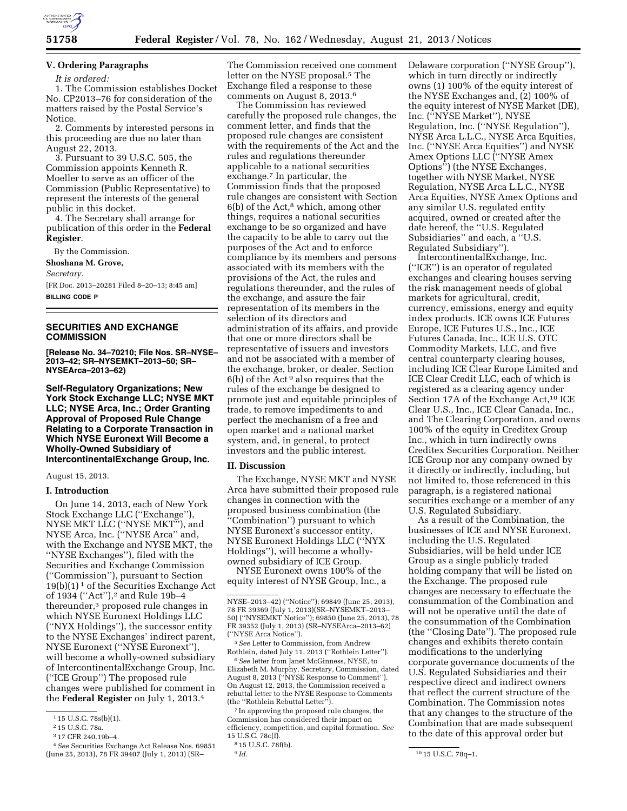

# **V. Ordering Paragraphs**

*It is ordered:* 

1. The Commission establishes Docket No. CP2013–76 for consideration of the matters raised by the Postal Service's Notice.

2. Comments by interested persons in this proceeding are due no later than August 22, 2013.

3. Pursuant to 39 U.S.C. 505, the Commission appoints Kenneth R. Moeller to serve as an officer of the Commission (Public Representative) to represent the interests of the general public in this docket.

4. The Secretary shall arrange for publication of this order in the **Federal Register**.

By the Commission.

**Shoshana M. Grove,** 

*Secretary.* 

[FR Doc. 2013–20281 Filed 8–20–13; 8:45 am] **BILLING CODE P** 

# **SECURITIES AND EXCHANGE COMMISSION**

**[Release No. 34–70210; File Nos. SR–NYSE– 2013–42; SR–NYSEMKT–2013–50; SR– NYSEArca–2013–62)** 

**Self-Regulatory Organizations; New York Stock Exchange LLC; NYSE MKT LLC; NYSE Arca, Inc.; Order Granting Approval of Proposed Rule Change Relating to a Corporate Transaction in Which NYSE Euronext Will Become a Wholly-Owned Subsidiary of IntercontinentalExchange Group, Inc.** 

## August 15, 2013.

#### **I. Introduction**

On June 14, 2013, each of New York Stock Exchange LLC (''Exchange''), NYSE MKT LLC (''NYSE MKT''), and NYSE Arca, Inc. (''NYSE Arca'' and, with the Exchange and NYSE MKT, the ''NYSE Exchanges''), filed with the Securities and Exchange Commission (''Commission''), pursuant to Section  $19(b)(1)^1$  of the Securities Exchange Act of 1934 ("Act"),<sup>2</sup> and Rule 19b-4 thereunder,3 proposed rule changes in which NYSE Euronext Holdings LLC (''NYX Holdings''), the successor entity to the NYSE Exchanges' indirect parent, NYSE Euronext (''NYSE Euronext''), will become a wholly-owned subsidiary of IntercontinentalExchange Group, Inc. (''ICE Group'') The proposed rule changes were published for comment in the **Federal Register** on July 1, 2013.4

3 17 CFR 240.19b–4.

The Commission received one comment letter on the NYSE proposal.<sup>5</sup> The Exchange filed a response to these comments on August 8, 2013.6

The Commission has reviewed carefully the proposed rule changes, the comment letter, and finds that the proposed rule changes are consistent with the requirements of the Act and the rules and regulations thereunder applicable to a national securities exchange.7 In particular, the Commission finds that the proposed rule changes are consistent with Section  $6(b)$  of the Act,<sup>8</sup> which, among other things, requires a national securities exchange to be so organized and have the capacity to be able to carry out the purposes of the Act and to enforce compliance by its members and persons associated with its members with the provisions of the Act, the rules and regulations thereunder, and the rules of the exchange, and assure the fair representation of its members in the selection of its directors and administration of its affairs, and provide that one or more directors shall be representative of issuers and investors and not be associated with a member of the exchange, broker, or dealer. Section  $6(b)$  of the Act<sup>9</sup> also requires that the rules of the exchange be designed to promote just and equitable principles of trade, to remove impediments to and perfect the mechanism of a free and open market and a national market system, and, in general, to protect investors and the public interest.

#### **II. Discussion**

The Exchange, NYSE MKT and NYSE Arca have submitted their proposed rule changes in connection with the proposed business combination (the ''Combination'') pursuant to which NYSE Euronext's successor entity, NYSE Euronext Holdings LLC (''NYX Holdings''), will become a whollyowned subsidiary of ICE Group.

NYSE Euronext owns 100% of the equity interest of NYSE Group, Inc., a

5*See* Letter to Commission, from Andrew Rothlein, dated July 11, 2013 (''Rothlein Letter'').

6*See* letter from Janet McGinness, NYSE, to Elizabeth M. Murphy, Secretary, Commission, dated August 8, 2013 (''NYSE Response to Comment''). On August 12, 2013, the Commission received a rebuttal letter to the NYSE Response to Comments (the ''Rothlein Rebuttal Letter'').

7 In approving the proposed rule changes, the Commission has considered their impact on efficiency, competition, and capital formation. *See*  15 U.S.C. 78c(f).

Delaware corporation (''NYSE Group''), which in turn directly or indirectly owns (1) 100% of the equity interest of the NYSE Exchanges and, (2) 100% of the equity interest of NYSE Market (DE), Inc. (''NYSE Market''), NYSE Regulation, Inc. (''NYSE Regulation''), NYSE Arca L.L.C., NYSE Arca Equities, Inc. (''NYSE Arca Equities'') and NYSE Amex Options LLC (''NYSE Amex Options'') (the NYSE Exchanges, together with NYSE Market, NYSE Regulation, NYSE Arca L.L.C., NYSE Arca Equities, NYSE Amex Options and any similar U.S. regulated entity acquired, owned or created after the date hereof, the ''U.S. Regulated Subsidiaries'' and each, a ''U.S. Regulated Subsidiary'').

IntercontinentalExchange, Inc. (''ICE'') is an operator of regulated exchanges and clearing houses serving the risk management needs of global markets for agricultural, credit, currency, emissions, energy and equity index products. ICE owns ICE Futures Europe, ICE Futures U.S., Inc., ICE Futures Canada, Inc., ICE U.S. OTC Commodity Markets, LLC, and five central counterparty clearing houses, including ICE Clear Europe Limited and ICE Clear Credit LLC, each of which is registered as a clearing agency under Section 17A of the Exchange Act,<sup>10</sup> ICE Clear U.S., Inc., ICE Clear Canada, Inc., and The Clearing Corporation, and owns 100% of the equity in Creditex Group Inc., which in turn indirectly owns Creditex Securities Corporation. Neither ICE Group nor any company owned by it directly or indirectly, including, but not limited to, those referenced in this paragraph, is a registered national securities exchange or a member of any U.S. Regulated Subsidiary.

As a result of the Combination, the businesses of ICE and NYSE Euronext, including the U.S. Regulated Subsidiaries, will be held under ICE Group as a single publicly traded holding company that will be listed on the Exchange. The proposed rule changes are necessary to effectuate the consummation of the Combination and will not be operative until the date of the consummation of the Combination (the ''Closing Date''). The proposed rule changes and exhibits thereto contain modifications to the underlying corporate governance documents of the U.S. Regulated Subsidiaries and their respective direct and indirect owners that reflect the current structure of the Combination. The Commission notes that any changes to the structure of the Combination that are made subsequent to the date of this approval order but

<sup>1</sup> 15 U.S.C. 78s(b)(1).

<sup>2</sup> 15 U.S.C. 78a.

<sup>4</sup>*See* Securities Exchange Act Release Nos. 69851 (June 25, 2013), 78 FR 39407 (July 1, 2013) (SR–

NYSE–2013–42) (''Notice''); 69849 (June 25, 2013), 78 FR 39369 (July 1, 2013)(SR–NYSEMKT–2013– 50) (''NYSEMKT Notice''); 69850 (June 25, 2013), 78 FR 39352 (July 1, 2013) (SR–NYSEArca–2013–62) (''NYSE Arca Notice'').

<sup>8</sup> 15 U.S.C. 78f(b).

<sup>9</sup> *Id.* 10 15 U.S.C. 78q–1.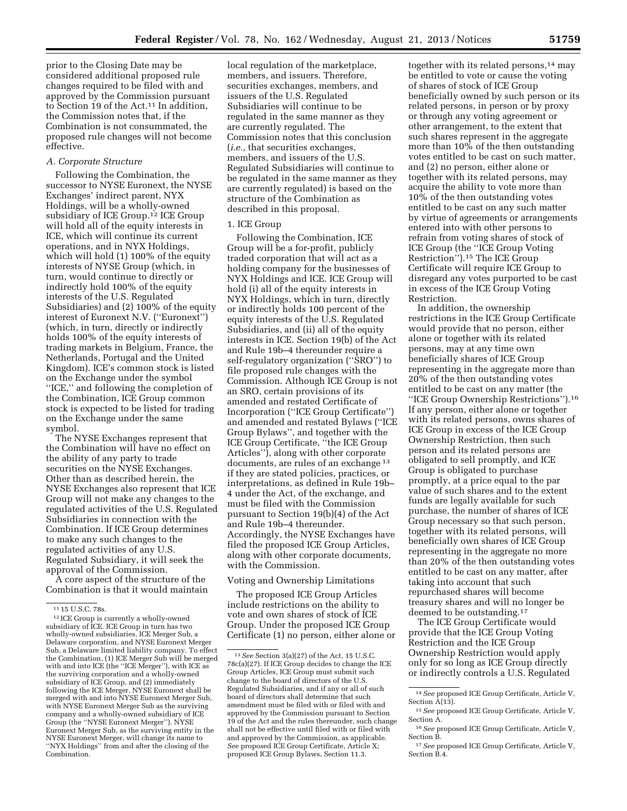prior to the Closing Date may be considered additional proposed rule changes required to be filed with and approved by the Commission pursuant to Section 19 of the Act.11 In addition, the Commission notes that, if the Combination is not consummated, the proposed rule changes will not become effective.

# *A. Corporate Structure*

Following the Combination, the successor to NYSE Euronext, the NYSE Exchanges' indirect parent, NYX Holdings, will be a wholly-owned subsidiary of ICE Group.12 ICE Group will hold all of the equity interests in ICE, which will continue its current operations, and in NYX Holdings, which will hold (1) 100% of the equity interests of NYSE Group (which, in turn, would continue to directly or indirectly hold 100% of the equity interests of the U.S. Regulated Subsidiaries) and (2) 100% of the equity interest of Euronext N.V. (''Euronext'') (which, in turn, directly or indirectly holds 100% of the equity interests of trading markets in Belgium, France, the Netherlands, Portugal and the United Kingdom). ICE's common stock is listed on the Exchange under the symbol ''ICE,'' and following the completion of the Combination, ICE Group common stock is expected to be listed for trading on the Exchange under the same symbol.

The NYSE Exchanges represent that the Combination will have no effect on the ability of any party to trade securities on the NYSE Exchanges. Other than as described herein, the NYSE Exchanges also represent that ICE Group will not make any changes to the regulated activities of the U.S. Regulated Subsidiaries in connection with the Combination. If ICE Group determines to make any such changes to the regulated activities of any U.S. Regulated Subsidiary, it will seek the approval of the Commission.

A core aspect of the structure of the Combination is that it would maintain

local regulation of the marketplace, members, and issuers. Therefore, securities exchanges, members, and issuers of the U.S. Regulated Subsidiaries will continue to be regulated in the same manner as they are currently regulated. The Commission notes that this conclusion (*i.e.,* that securities exchanges, members, and issuers of the U.S. Regulated Subsidiaries will continue to be regulated in the same manner as they are currently regulated) is based on the structure of the Combination as described in this proposal.

# 1. ICE Group

Following the Combination, ICE Group will be a for-profit, publicly traded corporation that will act as a holding company for the businesses of NYX Holdings and ICE. ICE Group will hold (i) all of the equity interests in NYX Holdings, which in turn, directly or indirectly holds 100 percent of the equity interests of the U.S. Regulated Subsidiaries, and (ii) all of the equity interests in ICE. Section 19(b) of the Act and Rule 19b–4 thereunder require a self-regulatory organization (''SRO'') to file proposed rule changes with the Commission. Although ICE Group is not an SRO, certain provisions of its amended and restated Certificate of Incorporation (''ICE Group Certificate'') and amended and restated Bylaws (''ICE Group Bylaws'', and together with the ICE Group Certificate, ''the ICE Group Articles''), along with other corporate documents, are rules of an exchange 13 if they are stated policies, practices, or interpretations, as defined in Rule 19b– 4 under the Act, of the exchange, and must be filed with the Commission pursuant to Section 19(b)(4) of the Act and Rule 19b–4 thereunder. Accordingly, the NYSE Exchanges have filed the proposed ICE Group Articles, along with other corporate documents, with the Commission.

# Voting and Ownership Limitations

The proposed ICE Group Articles include restrictions on the ability to vote and own shares of stock of ICE Group. Under the proposed ICE Group Certificate (1) no person, either alone or

together with its related persons,<sup>14</sup> may be entitled to vote or cause the voting of shares of stock of ICE Group beneficially owned by such person or its related persons, in person or by proxy or through any voting agreement or other arrangement, to the extent that such shares represent in the aggregate more than 10% of the then outstanding votes entitled to be cast on such matter, and (2) no person, either alone or together with its related persons, may acquire the ability to vote more than 10% of the then outstanding votes entitled to be cast on any such matter by virtue of agreements or arrangements entered into with other persons to refrain from voting shares of stock of ICE Group (the ''ICE Group Voting Restriction'').15 The ICE Group Certificate will require ICE Group to disregard any votes purported to be cast in excess of the ICE Group Voting Restriction.

In addition, the ownership restrictions in the ICE Group Certificate would provide that no person, either alone or together with its related persons, may at any time own beneficially shares of ICE Group representing in the aggregate more than 20% of the then outstanding votes entitled to be cast on any matter (the ''ICE Group Ownership Restrictions'').16 If any person, either alone or together with its related persons, owns shares of ICE Group in excess of the ICE Group Ownership Restriction, then such person and its related persons are obligated to sell promptly, and ICE Group is obligated to purchase promptly, at a price equal to the par value of such shares and to the extent funds are legally available for such purchase, the number of shares of ICE Group necessary so that such person, together with its related persons, will beneficially own shares of ICE Group representing in the aggregate no more than 20% of the then outstanding votes entitled to be cast on any matter, after taking into account that such repurchased shares will become treasury shares and will no longer be deemed to be outstanding.17

The ICE Group Certificate would provide that the ICE Group Voting Restriction and the ICE Group Ownership Restriction would apply only for so long as ICE Group directly or indirectly controls a U.S. Regulated

<sup>&</sup>lt;sup>11</sup> 15 U.S.C. 78s.<br><sup>12</sup> ICE Group is currently a wholly-owned subsidiary of ICE. ICE Group in turn has two wholly-owned subsidiaries, ICE Merger Sub, a Delaware corporation, and NYSE Euronext Merger Sub, a Delaware limited liability company. To effect the Combination, (1) ICE Merger Sub will be merged with and into ICE (the ''ICE Merger''), with ICE as the surviving corporation and a wholly-owned subsidiary of ICE Group, and (2) immediately following the ICE Merger, NYSE Euronext shall be merged with and into NYSE Euronext Merger Sub, with NYSE Euronext Merger Sub as the surviving company and a wholly-owned subsidiary of ICE Group (the ''NYSE Euronext Merger''). NYSE Euronext Merger Sub, as the surviving entity in the NYSE Euronext Merger, will change its name to ''NYX Holdings'' from and after the closing of the **Combination** 

<sup>13</sup>*See* Section 3(a)(27) of the Act, 15 U.S.C. 78c(a)(27). If ICE Group decides to change the ICE Group Articles, ICE Group must submit such change to the board of directors of the U.S. Regulated Subsidiaries, and if any or all of such board of directors shall determine that such amendment must be filed with or filed with and approved by the Commission pursuant to Section 19 of the Act and the rules thereunder, such change shall not be effective until filed with or filed with and approved by the Commission, as applicable. *See* proposed ICE Group Certificate, Article X; proposed ICE Group Bylaws, Section 11.3.

<sup>14</sup>*See* proposed ICE Group Certificate, Article V, Section  $\hat{A}(1\overline{3})$ .

<sup>15</sup>*See* proposed ICE Group Certificate, Article V, Section A.

<sup>16</sup>*See* proposed ICE Group Certificate, Article V, Section B.

<sup>17</sup>*See* proposed ICE Group Certificate, Article V, Section B.4.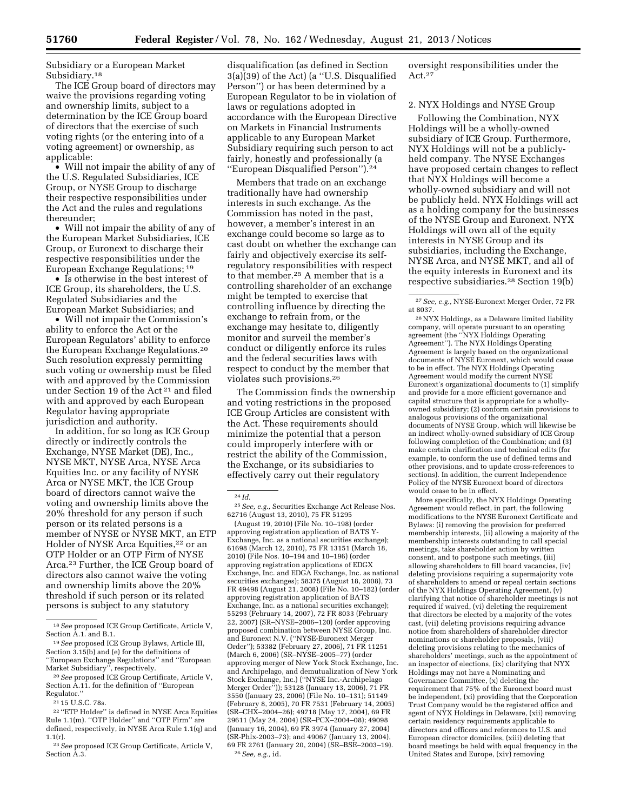Subsidiary or a European Market Subsidiary.18

The ICE Group board of directors may waive the provisions regarding voting and ownership limits, subject to a determination by the ICE Group board of directors that the exercise of such voting rights (or the entering into of a voting agreement) or ownership, as applicable:

• Will not impair the ability of any of the U.S. Regulated Subsidiaries, ICE Group, or NYSE Group to discharge their respective responsibilities under the Act and the rules and regulations thereunder;

• Will not impair the ability of any of the European Market Subsidiaries, ICE Group, or Euronext to discharge their respective responsibilities under the European Exchange Regulations; 19

• Is otherwise in the best interest of ICE Group, its shareholders, the U.S. Regulated Subsidiaries and the European Market Subsidiaries; and

• Will not impair the Commission's ability to enforce the Act or the European Regulators' ability to enforce the European Exchange Regulations.20 Such resolution expressly permitting such voting or ownership must be filed with and approved by the Commission under Section 19 of the Act 21 and filed with and approved by each European Regulator having appropriate jurisdiction and authority.

In addition, for so long as ICE Group directly or indirectly controls the Exchange, NYSE Market (DE), Inc., NYSE MKT, NYSE Arca, NYSE Arca Equities Inc. or any facility of NYSE Arca or NYSE MKT, the ICE Group board of directors cannot waive the voting and ownership limits above the 20% threshold for any person if such person or its related persons is a member of NYSE or NYSE MKT, an ETP Holder of NYSE Arca Equities,<sup>22</sup> or an OTP Holder or an OTP Firm of NYSE Arca.23 Further, the ICE Group board of directors also cannot waive the voting and ownership limits above the 20% threshold if such person or its related persons is subject to any statutory

disqualification (as defined in Section 3(a)(39) of the Act) (a ''U.S. Disqualified Person'') or has been determined by a European Regulator to be in violation of laws or regulations adopted in accordance with the European Directive on Markets in Financial Instruments applicable to any European Market Subsidiary requiring such person to act fairly, honestly and professionally (a ''European Disqualified Person'').24

Members that trade on an exchange traditionally have had ownership interests in such exchange. As the Commission has noted in the past, however, a member's interest in an exchange could become so large as to cast doubt on whether the exchange can fairly and objectively exercise its selfregulatory responsibilities with respect to that member.25 A member that is a controlling shareholder of an exchange might be tempted to exercise that controlling influence by directing the exchange to refrain from, or the exchange may hesitate to, diligently monitor and surveil the member's conduct or diligently enforce its rules and the federal securities laws with respect to conduct by the member that violates such provisions.26

The Commission finds the ownership and voting restrictions in the proposed ICE Group Articles are consistent with the Act. These requirements should minimize the potential that a person could improperly interfere with or restrict the ability of the Commission, the Exchange, or its subsidiaries to effectively carry out their regulatory

25*See, e.g.,* Securities Exchange Act Release Nos. 62716 (August 13, 2010), 75 FR 51295

(August 19, 2010) (File No. 10–198) (order approving registration application of BATS Y-Exchange, Inc. as a national securities exchange); 61698 (March 12, 2010), 75 FR 13151 (March 18, 2010) (File Nos. 10–194 and 10–196) (order approving registration applications of EDGX Exchange, Inc. and EDGA Exchange, Inc. as national securities exchanges); 58375 (August 18, 2008), 73 FR 49498 (August 21, 2008) (File No. 10–182) (order approving registration application of BATS Exchange, Inc. as a national securities exchange); 55293 (February 14, 2007), 72 FR 8033 (February 22, 2007) (SR–NYSE–2006–120) (order approving proposed combination between NYSE Group, Inc. and Euronext N.V. (''NYSE-Euronext Merger Order''); 53382 (February 27, 2006), 71 FR 11251 (March 6, 2006) (SR–NYSE–2005–77) (order approving merger of New York Stock Exchange, Inc. and Archipelago, and demutualization of New York Stock Exchange, Inc.) (''NYSE Inc.-Archipelago Merger Order'')); 53128 (January 13, 2006), 71 FR 3550 (January 23, 2006) (File No. 10–131); 51149 (February 8, 2005), 70 FR 7531 (February 14, 2005) (SR–CHX–2004–26); 49718 (May 17, 2004), 69 FR 29611 (May 24, 2004) (SR–PCX–2004–08); 49098 (January 16, 2004), 69 FR 3974 (January 27, 2004) (SR-Phlx-2003–73); and 49067 (January 13, 2004), 69 FR 2761 (January 20, 2004) (SR–BSE–2003–19). 26*See, e.g.,* id.

oversight responsibilities under the Act.27

### 2. NYX Holdings and NYSE Group

Following the Combination, NYX Holdings will be a wholly-owned subsidiary of ICE Group. Furthermore, NYX Holdings will not be a publiclyheld company. The NYSE Exchanges have proposed certain changes to reflect that NYX Holdings will become a wholly-owned subsidiary and will not be publicly held. NYX Holdings will act as a holding company for the businesses of the NYSE Group and Euronext. NYX Holdings will own all of the equity interests in NYSE Group and its subsidiaries, including the Exchange, NYSE Arca, and NYSE MKT, and all of the equity interests in Euronext and its respective subsidiaries.28 Section 19(b)

28NYX Holdings, as a Delaware limited liability company, will operate pursuant to an operating agreement (the ''NYX Holdings Operating Agreement''). The NYX Holdings Operating Agreement is largely based on the organizational documents of NYSE Euronext, which would cease to be in effect. The NYX Holdings Operating Agreement would modify the current NYSE Euronext's organizational documents to (1) simplify and provide for a more efficient governance and capital structure that is appropriate for a whollyowned subsidiary; (2) conform certain provisions to analogous provisions of the organizational documents of NYSE Group, which will likewise be an indirect wholly-owned subsidiary of ICE Group following completion of the Combination; and (3) make certain clarification and technical edits (for example, to conform the use of defined terms and other provisions, and to update cross-references to sections). In addition, the current Independence Policy of the NYSE Euronext board of directors would cease to be in effect.

More specifically, the NYX Holdings Operating Agreement would reflect, in part, the following modifications to the NYSE Euronext Certificate and Bylaws: (i) removing the provision for preferred membership interests, (ii) allowing a majority of the membership interests outstanding to call special meetings, take shareholder action by written consent, and to postpone such meetings, (iii) allowing shareholders to fill board vacancies, (iv) deleting provisions requiring a supermajority vote of shareholders to amend or repeal certain sections of the NYX Holdings Operating Agreement, (v) clarifying that notice of shareholder meetings is not required if waived, (vi) deleting the requirement that directors be elected by a majority of the votes cast, (vii) deleting provisions requiring advance notice from shareholders of shareholder director nominations or shareholder proposals, (viii) deleting provisions relating to the mechanics of shareholders' meetings, such as the appointment of an inspector of elections, (ix) clarifying that NYX Holdings may not have a Nominating and Governance Committee, (x) deleting the requirement that 75% of the Euronext board must be independent, (xi) providing that the Corporation Trust Company would be the registered office and agent of NYX Holdings in Delaware, (xii) removing certain residency requirements applicable to directors and officers and references to U.S. and European director domiciles, (xiii) deleting that board meetings be held with equal frequency in the United States and Europe, (xiv) removing

<sup>18</sup>*See* proposed ICE Group Certificate, Article V, Section A.1. and B.1.

<sup>19</sup>*See* proposed ICE Group Bylaws, Article III, Section 3.15(b) and (e) for the definitions of ''European Exchange Regulations'' and ''European Market Subsidiary'', respectively.

<sup>20</sup>*See* proposed ICE Group Certificate, Article V, Section A.11. for the definition of ''European Regulator.''

<sup>21</sup> 15 U.S.C. 78s.

<sup>22</sup> ''ETP Holder'' is defined in NYSE Arca Equities Rule 1.1(m). ''OTP Holder'' and ''OTP Firm'' are defined, respectively, in NYSE Arca Rule 1.1(q) and 1.1(r).

<sup>23</sup>*See* proposed ICE Group Certificate, Article V, Section A.3.

<sup>24</sup> *Id.* 

<sup>27</sup>*See, e.g.,* NYSE-Euronext Merger Order, 72 FR at 8037.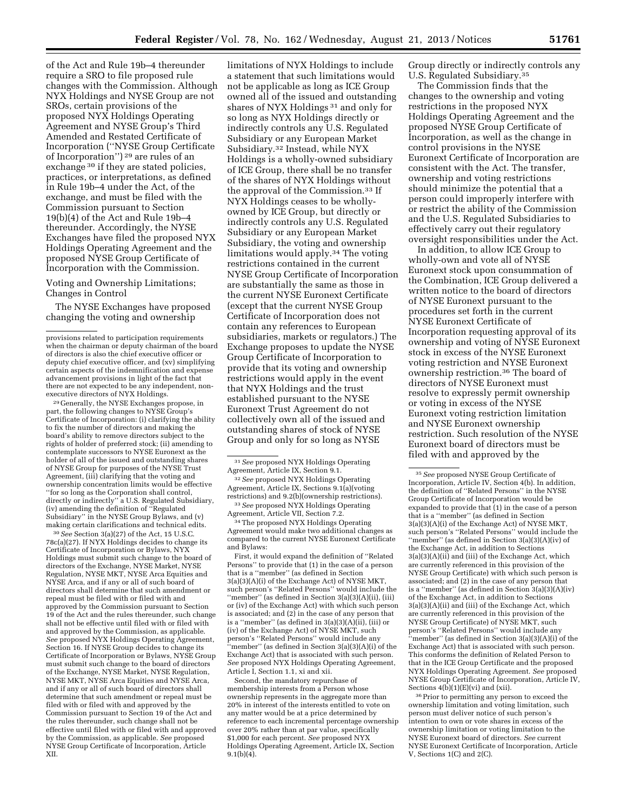require a SRO to file proposed rule changes with the Commission. Although NYX Holdings and NYSE Group are not SROs, certain provisions of the proposed NYX Holdings Operating Agreement and NYSE Group's Third Amended and Restated Certificate of Incorporation (''NYSE Group Certificate of Incorporation'') 29 are rules of an exchange <sup>30</sup> if they are stated policies, practices, or interpretations, as defined in Rule 19b–4 under the Act, of the exchange, and must be filed with the Commission pursuant to Section 19(b)(4) of the Act and Rule 19b–4 thereunder. Accordingly, the NYSE Exchanges have filed the proposed NYX Holdings Operating Agreement and the proposed NYSE Group Certificate of Incorporation with the Commission.

Voting and Ownership Limitations; Changes in Control

of the Act and Rule 19b–4 thereunder

The NYSE Exchanges have proposed changing the voting and ownership

29 Generally, the NYSE Exchanges propose, in part, the following changes to NYSE Group's Certificate of Incorporation: (i) clarifying the ability to fix the number of directors and making the board's ability to remove directors subject to the rights of holder of preferred stock; (ii) amending to contemplate successors to NYSE Euronext as the holder of all of the issued and outstanding shares of NYSE Group for purposes of the NYSE Trust Agreement, (iii) clarifying that the voting and ownership concentration limits would be effective ''for so long as the Corporation shall control, directly or indirectly" a U.S. Regulated Subsidiary, (iv) amending the definition of ''Regulated Subsidiary'' in the NYSE Group Bylaws, and (v) making certain clarifications and technical edits.

30*See* Section 3(a)(27) of the Act, 15 U.S.C. 78c(a)(27). If NYX Holdings decides to change its Certificate of Incorporation or Bylaws, NYX Holdings must submit such change to the board of directors of the Exchange, NYSE Market, NYSE Regulation, NYSE MKT, NYSE Arca Equities and NYSE Arca, and if any or all of such board of directors shall determine that such amendment or repeal must be filed with or filed with and approved by the Commission pursuant to Section 19 of the Act and the rules thereunder, such change shall not be effective until filed with or filed with and approved by the Commission, as applicable. *See* proposed NYX Holdings Operating Agreement, Section 16. If NYSE Group decides to change its Certificate of Incorporation or Bylaws, NYSE Group must submit such change to the board of directors of the Exchange, NYSE Market, NYSE Regulation, NYSE MKT, NYSE Arca Equities and NYSE Arca, and if any or all of such board of directors shall determine that such amendment or repeal must be filed with or filed with and approved by the Commission pursuant to Section 19 of the Act and the rules thereunder, such change shall not be effective until filed with or filed with and approved by the Commission, as applicable. *See* proposed NYSE Group Certificate of Incorporation, Article XII.

limitations of NYX Holdings to include a statement that such limitations would not be applicable as long as ICE Group owned all of the issued and outstanding shares of NYX Holdings 31 and only for so long as NYX Holdings directly or indirectly controls any U.S. Regulated Subsidiary or any European Market Subsidiary.32 Instead, while NYX Holdings is a wholly-owned subsidiary of ICE Group, there shall be no transfer of the shares of NYX Holdings without the approval of the Commission.33 If NYX Holdings ceases to be whollyowned by ICE Group, but directly or indirectly controls any U.S. Regulated Subsidiary or any European Market Subsidiary, the voting and ownership limitations would apply.34 The voting restrictions contained in the current NYSE Group Certificate of Incorporation are substantially the same as those in the current NYSE Euronext Certificate (except that the current NYSE Group Certificate of Incorporation does not contain any references to European subsidiaries, markets or regulators.) The Exchange proposes to update the NYSE Group Certificate of Incorporation to provide that its voting and ownership restrictions would apply in the event that NYX Holdings and the trust established pursuant to the NYSE Euronext Trust Agreement do not collectively own all of the issued and outstanding shares of stock of NYSE Group and only for so long as NYSE

<sup>34</sup> The proposed NYX Holdings Operating Agreement would make two additional changes as compared to the current NYSE Euronext Certificate and Bylaws:

First, it would expand the definition of ''Related Persons'' to provide that (1) in the case of a person that is a ''member'' (as defined in Section 3(a)(3)(A)(i) of the Exchange Act) of NYSE MKT, such person's ''Related Persons'' would include the ''member'' (as defined in Section 3(a)(3)(A)(ii), (iii) or (iv) of the Exchange Act) with which such person is associated; and (2) in the case of any person that is a "member" (as defined in  $3(a)(3)(\overrightarrow{A})(\overrightarrow{i}i)$ , (iii) or (iv) of the Exchange Act) of NYSE MKT, such person's ''Related Persons'' would include any ''member'' (as defined in Section 3(a)(3)(A)(i) of the Exchange Act) that is associated with such person. *See* proposed NYX Holdings Operating Agreement, Article I, Section 1.1, xi and xii.

Second, the mandatory repurchase of membership interests from a Person whose ownership represents in the aggregate more than 20% in interest of the interests entitled to vote on any matter would be at a price determined by reference to each incremental percentage ownership over 20% rather than at par value, specifically \$1,000 for each percent. *See* proposed NYX Holdings Operating Agreement, Article IX, Section  $9.1(b)(4)$ .

Group directly or indirectly controls any U.S. Regulated Subsidiary.35

The Commission finds that the changes to the ownership and voting restrictions in the proposed NYX Holdings Operating Agreement and the proposed NYSE Group Certificate of Incorporation, as well as the change in control provisions in the NYSE Euronext Certificate of Incorporation are consistent with the Act. The transfer, ownership and voting restrictions should minimize the potential that a person could improperly interfere with or restrict the ability of the Commission and the U.S. Regulated Subsidiaries to effectively carry out their regulatory oversight responsibilities under the Act.

In addition, to allow ICE Group to wholly-own and vote all of NYSE Euronext stock upon consummation of the Combination, ICE Group delivered a written notice to the board of directors of NYSE Euronext pursuant to the procedures set forth in the current NYSE Euronext Certificate of Incorporation requesting approval of its ownership and voting of NYSE Euronext stock in excess of the NYSE Euronext voting restriction and NYSE Euronext ownership restriction.36 The board of directors of NYSE Euronext must resolve to expressly permit ownership or voting in excess of the NYSE Euronext voting restriction limitation and NYSE Euronext ownership restriction. Such resolution of the NYSE Euronext board of directors must be filed with and approved by the

36Prior to permitting any person to exceed the ownership limitation and voting limitation, such person must deliver notice of such person's intention to own or vote shares in excess of the ownership limitation or voting limitation to the NYSE Euronext board of directors. *See* current NYSE Euronext Certificate of Incorporation, Article V, Sections 1(C) and 2(C).

provisions related to participation requirements when the chairman or deputy chairman of the board of directors is also the chief executive officer or deputy chief executive officer, and (xv) simplifying certain aspects of the indemnification and expense advancement provisions in light of the fact that there are not expected to be any independent, nonexecutive directors of NYX Holdings.

<sup>31</sup>*See* proposed NYX Holdings Operating Agreement, Article IX, Section 9.1.

<sup>32</sup>*See* proposed NYX Holdings Operating Agreement, Article IX, Sections 9.1(a)(voting restrictions) and 9.2(b)(ownership restrictions).

<sup>33</sup>*See* proposed NYX Holdings Operating Agreement, Article VII, Section 7.2.

<sup>35</sup>*See* proposed NYSE Group Certificate of Incorporation, Article IV, Section 4(b). In addition, the definition of ''Related Persons'' in the NYSE Group Certificate of Incorporation would be expanded to provide that (1) in the case of a person that is a ''member'' (as defined in Section 3(a)(3)(A)(i) of the Exchange Act) of NYSE MKT, such person's ''Related Persons'' would include the ''member'' (as defined in Section 3(a)(3)(A)(iv) of the Exchange Act, in addition to Sections 3(a)(3)(A)(ii) and (iii) of the Exchange Act, which are currently referenced in this provision of the NYSE Group Certificate) with which such person is associated; and (2) in the case of any person that is a ''member'' (as defined in Section 3(a)(3)(A)(iv) of the Exchange Act, in addition to Sections 3(a)(3)(A)(ii) and (iii) of the Exchange Act, which are currently referenced in this provision of the NYSE Group Certificate) of NYSE MKT, such person's ''Related Persons'' would include any 'member" (as defined in Section  $3(a)(3)(A)(i)$  of the Exchange Act) that is associated with such person. This conforms the definition of Related Person to that in the ICE Group Certificate and the proposed NYX Holdings Operating Agreement. *See* proposed NYSE Group Certificate of Incorporation, Article IV, Sections  $4(b)(1)(E)(vi)$  and (xii).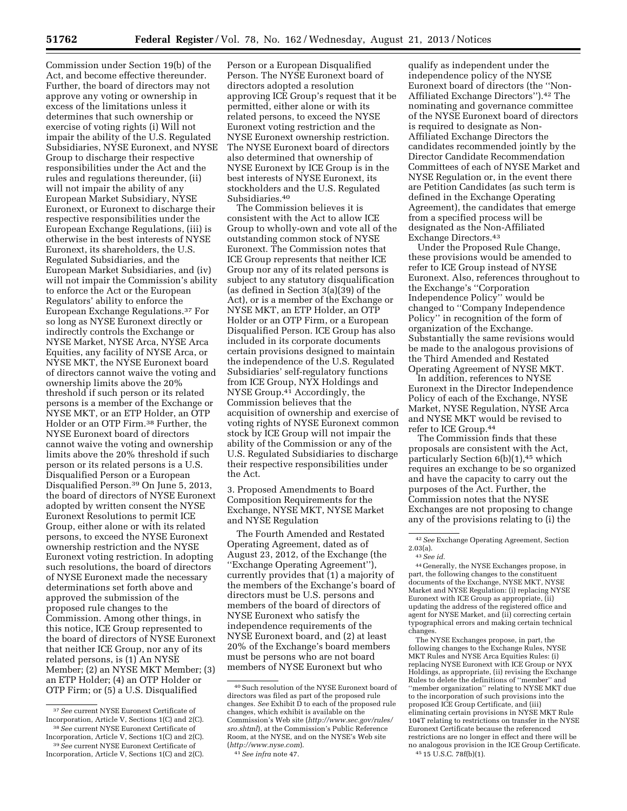Commission under Section 19(b) of the Act, and become effective thereunder. Further, the board of directors may not approve any voting or ownership in excess of the limitations unless it determines that such ownership or exercise of voting rights (i) Will not impair the ability of the U.S. Regulated Subsidiaries, NYSE Euronext, and NYSE Group to discharge their respective responsibilities under the Act and the rules and regulations thereunder, (ii) will not impair the ability of any European Market Subsidiary, NYSE Euronext, or Euronext to discharge their respective responsibilities under the European Exchange Regulations, (iii) is otherwise in the best interests of NYSE Euronext, its shareholders, the U.S. Regulated Subsidiaries, and the European Market Subsidiaries, and (iv) will not impair the Commission's ability to enforce the Act or the European Regulators' ability to enforce the European Exchange Regulations.37 For so long as NYSE Euronext directly or indirectly controls the Exchange or NYSE Market, NYSE Arca, NYSE Arca Equities, any facility of NYSE Arca, or NYSE MKT, the NYSE Euronext board of directors cannot waive the voting and ownership limits above the 20% threshold if such person or its related persons is a member of the Exchange or NYSE MKT, or an ETP Holder, an OTP Holder or an OTP Firm.38 Further, the NYSE Euronext board of directors cannot waive the voting and ownership limits above the 20% threshold if such person or its related persons is a U.S. Disqualified Person or a European Disqualified Person.39 On June 5, 2013, the board of directors of NYSE Euronext adopted by written consent the NYSE Euronext Resolutions to permit ICE Group, either alone or with its related persons, to exceed the NYSE Euronext ownership restriction and the NYSE Euronext voting restriction. In adopting such resolutions, the board of directors of NYSE Euronext made the necessary determinations set forth above and approved the submission of the proposed rule changes to the Commission. Among other things, in this notice, ICE Group represented to the board of directors of NYSE Euronext that neither ICE Group, nor any of its related persons, is (1) An NYSE Member; (2) an NYSE MKT Member; (3) an ETP Holder; (4) an OTP Holder or OTP Firm; or (5) a U.S. Disqualified

Person or a European Disqualified Person. The NYSE Euronext board of directors adopted a resolution approving ICE Group's request that it be permitted, either alone or with its related persons, to exceed the NYSE Euronext voting restriction and the NYSE Euronext ownership restriction. The NYSE Euronext board of directors also determined that ownership of NYSE Euronext by ICE Group is in the best interests of NYSE Euronext, its stockholders and the U.S. Regulated Subsidiaries.40

The Commission believes it is consistent with the Act to allow ICE Group to wholly-own and vote all of the outstanding common stock of NYSE Euronext. The Commission notes that ICE Group represents that neither ICE Group nor any of its related persons is subject to any statutory disqualification (as defined in Section 3(a)(39) of the Act), or is a member of the Exchange or NYSE MKT, an ETP Holder, an OTP Holder or an OTP Firm, or a European Disqualified Person. ICE Group has also included in its corporate documents certain provisions designed to maintain the independence of the U.S. Regulated Subsidiaries' self-regulatory functions from ICE Group, NYX Holdings and NYSE Group.41 Accordingly, the Commission believes that the acquisition of ownership and exercise of voting rights of NYSE Euronext common stock by ICE Group will not impair the ability of the Commission or any of the U.S. Regulated Subsidiaries to discharge their respective responsibilities under the Act.

3. Proposed Amendments to Board Composition Requirements for the Exchange, NYSE MKT, NYSE Market and NYSE Regulation

The Fourth Amended and Restated Operating Agreement, dated as of August 23, 2012, of the Exchange (the ''Exchange Operating Agreement''), currently provides that (1) a majority of the members of the Exchange's board of directors must be U.S. persons and members of the board of directors of NYSE Euronext who satisfy the independence requirements of the NYSE Euronext board, and (2) at least 20% of the Exchange's board members must be persons who are not board members of NYSE Euronext but who

41*See infra* note 47.

qualify as independent under the independence policy of the NYSE Euronext board of directors (the ''Non-Affiliated Exchange Directors'').42 The nominating and governance committee of the NYSE Euronext board of directors is required to designate as Non-Affiliated Exchange Directors the candidates recommended jointly by the Director Candidate Recommendation Committees of each of NYSE Market and NYSE Regulation or, in the event there are Petition Candidates (as such term is defined in the Exchange Operating Agreement), the candidates that emerge from a specified process will be designated as the Non-Affiliated Exchange Directors.43

Under the Proposed Rule Change, these provisions would be amended to refer to ICE Group instead of NYSE Euronext. Also, references throughout to the Exchange's ''Corporation Independence Policy'' would be changed to ''Company Independence Policy'' in recognition of the form of organization of the Exchange. Substantially the same revisions would be made to the analogous provisions of the Third Amended and Restated Operating Agreement of NYSE MKT.

In addition, references to NYSE Euronext in the Director Independence Policy of each of the Exchange, NYSE Market, NYSE Regulation, NYSE Arca and NYSE MKT would be revised to refer to ICE Group.44

The Commission finds that these proposals are consistent with the Act, particularly Section  $6(b)(1)$ ,<sup>45</sup> which requires an exchange to be so organized and have the capacity to carry out the purposes of the Act. Further, the Commission notes that the NYSE Exchanges are not proposing to change any of the provisions relating to (i) the

44 Generally, the NYSE Exchanges propose, in part, the following changes to the constituent documents of the Exchange, NYSE MKT, NYSE Market and NYSE Regulation: (i) replacing NYSE Euronext with ICE Group as appropriate, (ii) updating the address of the registered office and agent for NYSE Market, and (ii) correcting certain typographical errors and making certain technical changes.

The NYSE Exchanges propose, in part, the following changes to the Exchange Rules, NYSE MKT Rules and NYSE Arca Equities Rules: (i) replacing NYSE Euronext with ICE Group or NYX Holdings, as appropriate, (ii) revising the Exchange Rules to delete the definitions of ''member'' and ''member organization'' relating to NYSE MKT due to the incorporation of such provisions into the proposed ICE Group Certificate, and (iii) eliminating certain provisions in NYSE MKT Rule 104T relating to restrictions on transfer in the NYSE Euronext Certificate because the referenced restrictions are no longer in effect and there will be no analogous provision in the ICE Group Certificate. 45 15 U.S.C. 78f(b)(1).

<sup>37</sup>*See* current NYSE Euronext Certificate of Incorporation, Article V, Sections 1(C) and 2(C). 38*See* current NYSE Euronext Certificate of

Incorporation, Article V, Sections 1(C) and 2(C). 39*See* current NYSE Euronext Certificate of

Incorporation, Article V, Sections 1(C) and 2(C).

<sup>40</sup>Such resolution of the NYSE Euronext board of directors was filed as part of the proposed rule changes. *See* Exhibit D to each of the proposed rule changes, which exhibit is available on the Commission's Web site (*[http://www.sec.gov/rules/](http://www.sec.gov/rules/sro.shtml) [sro.shtml](http://www.sec.gov/rules/sro.shtml)*), at the Commission's Public Reference Room, at the NYSE, and on the NYSE's Web site (*<http://www.nyse.com>*).

<sup>42</sup>*See* Exchange Operating Agreement, Section

<sup>2.03(</sup>a). 43*See id.*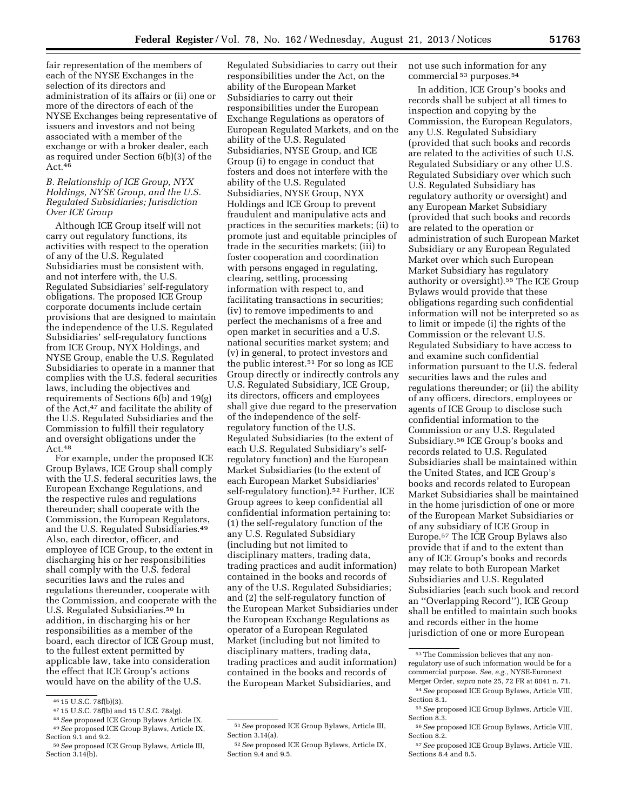fair representation of the members of each of the NYSE Exchanges in the selection of its directors and administration of its affairs or (ii) one or more of the directors of each of the NYSE Exchanges being representative of issuers and investors and not being associated with a member of the exchange or with a broker dealer, each

# Act.46 *B. Relationship of ICE Group, NYX Holdings, NYSE Group, and the U.S. Regulated Subsidiaries; Jurisdiction Over ICE Group*

as required under Section 6(b)(3) of the

Although ICE Group itself will not carry out regulatory functions, its activities with respect to the operation of any of the U.S. Regulated Subsidiaries must be consistent with, and not interfere with, the U.S. Regulated Subsidiaries' self-regulatory obligations. The proposed ICE Group corporate documents include certain provisions that are designed to maintain the independence of the U.S. Regulated Subsidiaries' self-regulatory functions from ICE Group, NYX Holdings, and NYSE Group, enable the U.S. Regulated Subsidiaries to operate in a manner that complies with the U.S. federal securities laws, including the objectives and requirements of Sections 6(b) and 19(g) of the Act,47 and facilitate the ability of the U.S. Regulated Subsidiaries and the Commission to fulfill their regulatory and oversight obligations under the Act.<sup>48</sup>

For example, under the proposed ICE Group Bylaws, ICE Group shall comply with the U.S. federal securities laws, the European Exchange Regulations, and the respective rules and regulations thereunder; shall cooperate with the Commission, the European Regulators, and the U.S. Regulated Subsidiaries.49 Also, each director, officer, and employee of ICE Group, to the extent in discharging his or her responsibilities shall comply with the U.S. federal securities laws and the rules and regulations thereunder, cooperate with the Commission, and cooperate with the U.S. Regulated Subsidiaries.50 In addition, in discharging his or her responsibilities as a member of the board, each director of ICE Group must, to the fullest extent permitted by applicable law, take into consideration the effect that ICE Group's actions would have on the ability of the U.S.

<sup>46</sup> 15 U.S.C. 78f(b)(3). 47 15 U.S.C. 78f(b) and 15 U.S.C. 78s(g). 48*See* proposed ICE Group Bylaws Article IX. 49*See* proposed ICE Group Bylaws, Article IX, Section 9.1 and 9.2.

Regulated Subsidiaries to carry out their responsibilities under the Act, on the ability of the European Market Subsidiaries to carry out their responsibilities under the European Exchange Regulations as operators of European Regulated Markets, and on the ability of the U.S. Regulated Subsidiaries, NYSE Group, and ICE Group (i) to engage in conduct that fosters and does not interfere with the ability of the U.S. Regulated Subsidiaries, NYSE Group, NYX Holdings and ICE Group to prevent fraudulent and manipulative acts and practices in the securities markets; (ii) to promote just and equitable principles of trade in the securities markets; (iii) to foster cooperation and coordination with persons engaged in regulating, clearing, settling, processing information with respect to, and facilitating transactions in securities; (iv) to remove impediments to and perfect the mechanisms of a free and open market in securities and a U.S. national securities market system; and (v) in general, to protect investors and the public interest.51 For so long as ICE Group directly or indirectly controls any U.S. Regulated Subsidiary, ICE Group, its directors, officers and employees shall give due regard to the preservation of the independence of the selfregulatory function of the U.S. Regulated Subsidiaries (to the extent of each U.S. Regulated Subsidiary's selfregulatory function) and the European Market Subsidiaries (to the extent of each European Market Subsidiaries' self-regulatory function).<sup>52</sup> Further, ICE Group agrees to keep confidential all confidential information pertaining to: (1) the self-regulatory function of the any U.S. Regulated Subsidiary (including but not limited to disciplinary matters, trading data, trading practices and audit information) contained in the books and records of any of the U.S. Regulated Subsidiaries; and (2) the self-regulatory function of the European Market Subsidiaries under the European Exchange Regulations as operator of a European Regulated Market (including but not limited to disciplinary matters, trading data, trading practices and audit information) contained in the books and records of the European Market Subsidiaries, and

not use such information for any commercial 53 purposes.54

In addition, ICE Group's books and records shall be subject at all times to inspection and copying by the Commission, the European Regulators, any U.S. Regulated Subsidiary (provided that such books and records are related to the activities of such U.S. Regulated Subsidiary or any other U.S. Regulated Subsidiary over which such U.S. Regulated Subsidiary has regulatory authority or oversight) and any European Market Subsidiary (provided that such books and records are related to the operation or administration of such European Market Subsidiary or any European Regulated Market over which such European Market Subsidiary has regulatory authority or oversight).55 The ICE Group Bylaws would provide that these obligations regarding such confidential information will not be interpreted so as to limit or impede (i) the rights of the Commission or the relevant U.S. Regulated Subsidiary to have access to and examine such confidential information pursuant to the U.S. federal securities laws and the rules and regulations thereunder; or (ii) the ability of any officers, directors, employees or agents of ICE Group to disclose such confidential information to the Commission or any U.S. Regulated Subsidiary.56 ICE Group's books and records related to U.S. Regulated Subsidiaries shall be maintained within the United States, and ICE Group's books and records related to European Market Subsidiaries shall be maintained in the home jurisdiction of one or more of the European Market Subsidiaries or of any subsidiary of ICE Group in Europe.57 The ICE Group Bylaws also provide that if and to the extent than any of ICE Group's books and records may relate to both European Market Subsidiaries and U.S. Regulated Subsidiaries (each such book and record an ''Overlapping Record''), ICE Group shall be entitled to maintain such books and records either in the home jurisdiction of one or more European

<sup>50</sup>*See* proposed ICE Group Bylaws, Article III, Section  $3.14(b)$ .

<sup>51</sup>*See* proposed ICE Group Bylaws, Article III, Section 3.14(a).

<sup>52</sup>*See* proposed ICE Group Bylaws, Article IX, Section 9.4 and 9.5.

<sup>53</sup>The Commission believes that any nonregulatory use of such information would be for a commercial purpose. *See, e.g.,* NYSE-Euronext Merger Order, *supra* note 25, 72 FR at 8041 n. 71.

<sup>54</sup>*See* proposed ICE Group Bylaws, Article VIII, Section 8.1.

<sup>55</sup>*See* proposed ICE Group Bylaws, Article VIII, Section 8.3.

<sup>56</sup>*See* proposed ICE Group Bylaws, Article VIII, Section 8.2.

<sup>57</sup>*See* proposed ICE Group Bylaws, Article VIII, Sections 8.4 and 8.5.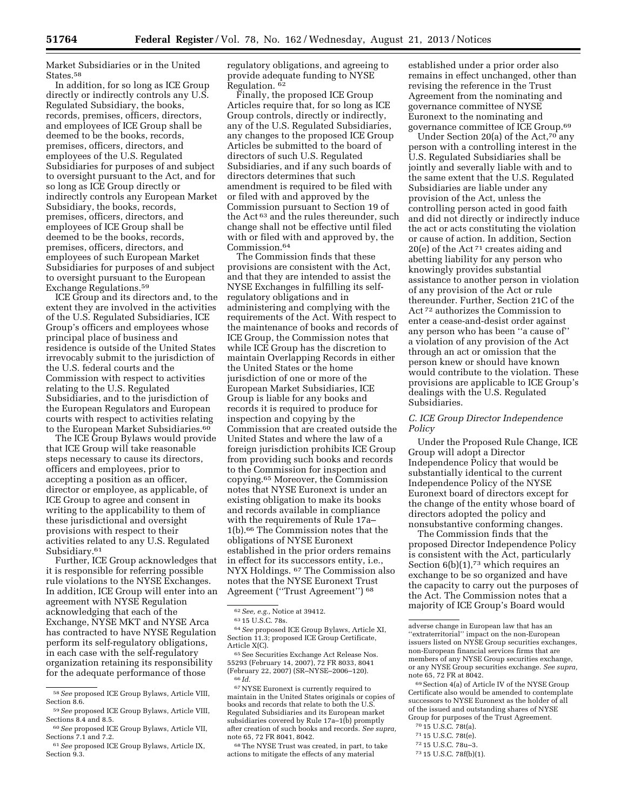Market Subsidiaries or in the United States.<sup>58</sup>

In addition, for so long as ICE Group directly or indirectly controls any U.S. Regulated Subsidiary, the books, records, premises, officers, directors, and employees of ICE Group shall be deemed to be the books, records, premises, officers, directors, and employees of the U.S. Regulated Subsidiaries for purposes of and subject to oversight pursuant to the Act, and for so long as ICE Group directly or indirectly controls any European Market Subsidiary, the books, records, premises, officers, directors, and employees of ICE Group shall be deemed to be the books, records, premises, officers, directors, and employees of such European Market Subsidiaries for purposes of and subject to oversight pursuant to the European Exchange Regulations.59

ICE Group and its directors and, to the extent they are involved in the activities of the U.S. Regulated Subsidiaries, ICE Group's officers and employees whose principal place of business and residence is outside of the United States irrevocably submit to the jurisdiction of the U.S. federal courts and the Commission with respect to activities relating to the U.S. Regulated Subsidiaries, and to the jurisdiction of the European Regulators and European courts with respect to activities relating to the European Market Subsidiaries.<sup>60</sup>

The ICE Group Bylaws would provide that ICE Group will take reasonable steps necessary to cause its directors, officers and employees, prior to accepting a position as an officer, director or employee, as applicable, of ICE Group to agree and consent in writing to the applicability to them of these jurisdictional and oversight provisions with respect to their activities related to any U.S. Regulated Subsidiary.<sup>61</sup>

Further, ICE Group acknowledges that it is responsible for referring possible rule violations to the NYSE Exchanges. In addition, ICE Group will enter into an agreement with NYSE Regulation acknowledging that each of the Exchange, NYSE MKT and NYSE Arca has contracted to have NYSE Regulation perform its self-regulatory obligations, in each case with the self-regulatory organization retaining its responsibility for the adequate performance of those

regulatory obligations, and agreeing to provide adequate funding to NYSE Regulation. 62

Finally, the proposed ICE Group Articles require that, for so long as ICE Group controls, directly or indirectly, any of the U.S. Regulated Subsidiaries, any changes to the proposed ICE Group Articles be submitted to the board of directors of such U.S. Regulated Subsidiaries, and if any such boards of directors determines that such amendment is required to be filed with or filed with and approved by the Commission pursuant to Section 19 of the Act 63 and the rules thereunder, such change shall not be effective until filed with or filed with and approved by, the Commission.64

The Commission finds that these provisions are consistent with the Act, and that they are intended to assist the NYSE Exchanges in fulfilling its selfregulatory obligations and in administering and complying with the requirements of the Act. With respect to the maintenance of books and records of ICE Group, the Commission notes that while ICE Group has the discretion to maintain Overlapping Records in either the United States or the home jurisdiction of one or more of the European Market Subsidiaries, ICE Group is liable for any books and records it is required to produce for inspection and copying by the Commission that are created outside the United States and where the law of a foreign jurisdiction prohibits ICE Group from providing such books and records to the Commission for inspection and copying.65 Moreover, the Commission notes that NYSE Euronext is under an existing obligation to make its books and records available in compliance with the requirements of Rule 17a– 1(b).66 The Commission notes that the obligations of NYSE Euronext established in the prior orders remains in effect for its successors entity, i.e., NYX Holdings. 67 The Commission also notes that the NYSE Euronext Trust Agreement (''Trust Agreement'') 68

Article X(C).<br><sup>-65</sup> See Securities Exchange Act Release Nos.<br>55293 (February 14, 2007), 72 FR 8033, 8041 (February 22, 2007) (SR–NYSE–2006–120). 66 *Id.* 

67NYSE Euronext is currently required to maintain in the United States originals or copies of books and records that relate to both the U.S. Regulated Subsidiaries and its European market subsidiaries covered by Rule 17a–1(b) promptly after creation of such books and records. *See supra,*  note 65, 72 FR 8041, 8042.

68The NYSE Trust was created, in part, to take actions to mitigate the effects of any material

established under a prior order also remains in effect unchanged, other than revising the reference in the Trust Agreement from the nominating and governance committee of NYSE Euronext to the nominating and governance committee of ICE Group.69

Under Section 20(a) of the Act,70 any person with a controlling interest in the U.S. Regulated Subsidiaries shall be jointly and severally liable with and to the same extent that the U.S. Regulated Subsidiaries are liable under any provision of the Act, unless the controlling person acted in good faith and did not directly or indirectly induce the act or acts constituting the violation or cause of action. In addition, Section 20(e) of the Act 71 creates aiding and abetting liability for any person who knowingly provides substantial assistance to another person in violation of any provision of the Act or rule thereunder. Further, Section 21C of the Act 72 authorizes the Commission to enter a cease-and-desist order against any person who has been ''a cause of'' a violation of any provision of the Act through an act or omission that the person knew or should have known would contribute to the violation. These provisions are applicable to ICE Group's dealings with the U.S. Regulated Subsidiaries.

## *C. ICE Group Director Independence Policy*

Under the Proposed Rule Change, ICE Group will adopt a Director Independence Policy that would be substantially identical to the current Independence Policy of the NYSE Euronext board of directors except for the change of the entity whose board of directors adopted the policy and nonsubstantive conforming changes.

The Commission finds that the proposed Director Independence Policy is consistent with the Act, particularly Section  $6(b)(1)$ ,<sup>73</sup> which requires an exchange to be so organized and have the capacity to carry out the purposes of the Act. The Commission notes that a majority of ICE Group's Board would

69Section 4(a) of Article IV of the NYSE Group Certificate also would be amended to contemplate successors to NYSE Euronext as the holder of all of the issued and outstanding shares of NYSE Group for purposes of the Trust Agreement.

- 70 15 U.S.C. 78t(a).
- 71 15 U.S.C. 78t(e).

<sup>58</sup>*See* proposed ICE Group Bylaws, Article VIII, Section 8.6.

<sup>59</sup>*See* proposed ICE Group Bylaws, Article VIII, Sections 8.4 and 8.5.

<sup>60</sup>*See* proposed ICE Group Bylaws, Article VII, Sections 7.1 and 7.2.

<sup>61</sup>*See* proposed ICE Group Bylaws, Article IX, Section 9.3.

<sup>62</sup>*See, e.g.,* Notice at 39412. 63 15 U.S.C. 78s. 64*See* proposed ICE Group Bylaws, Article XI, Section 11.3; proposed ICE Group Certificate,<br>Article X(C).

adverse change in European law that has an ''extraterritorial'' impact on the non-European issuers listed on NYSE Group securities exchanges, non-European financial services firms that are members of any NYSE Group securities exchange, or any NYSE Group securities exchange. *See supra,*  note 65, 72 FR at 8042.

<sup>72</sup> 15 U.S.C. 78u–3.

<sup>73</sup> 15 U.S.C. 78f(b)(1).